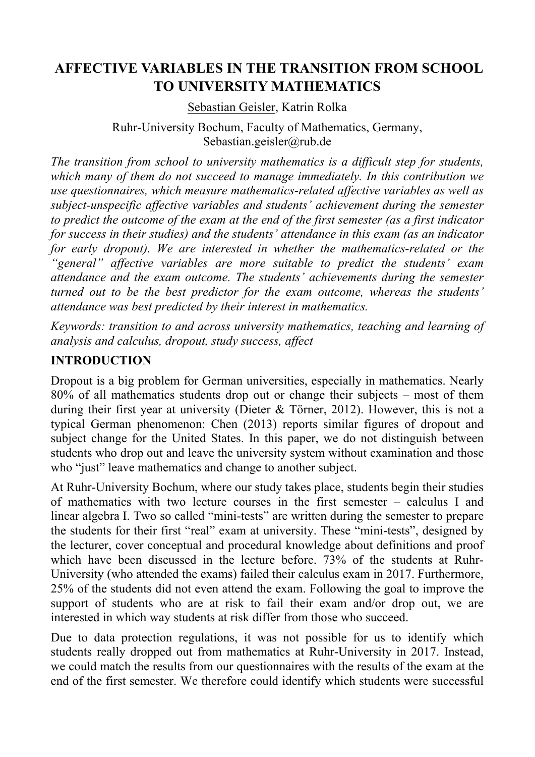# **AFFECTIVE VARIABLES IN THE TRANSITION FROM SCHOOL TO UNIVERSITY MATHEMATICS**

#### Sebastian Geisler, Katrin Rolka

Ruhr-University Bochum, Faculty of Mathematics, Germany, Sebastian.geisler@rub.de

*The transition from school to university mathematics is a difficult step for students, which many of them do not succeed to manage immediately. In this contribution we use questionnaires, which measure mathematics-related affective variables as well as subject-unspecific affective variables and students' achievement during the semester to predict the outcome of the exam at the end of the first semester (as a first indicator for success in their studies) and the students' attendance in this exam (as an indicator for early dropout). We are interested in whether the mathematics-related or the "general" affective variables are more suitable to predict the students' exam attendance and the exam outcome. The students' achievements during the semester turned out to be the best predictor for the exam outcome, whereas the students' attendance was best predicted by their interest in mathematics.*

*Keywords: transition to and across university mathematics, teaching and learning of analysis and calculus, dropout, study success, affect*

### **INTRODUCTION**

Dropout is a big problem for German universities, especially in mathematics. Nearly 80% of all mathematics students drop out or change their subjects – most of them during their first year at university (Dieter & Törner, 2012). However, this is not a typical German phenomenon: Chen (2013) reports similar figures of dropout and subject change for the United States. In this paper, we do not distinguish between students who drop out and leave the university system without examination and those who "just" leave mathematics and change to another subject.

At Ruhr-University Bochum, where our study takes place, students begin their studies of mathematics with two lecture courses in the first semester – calculus I and linear algebra I. Two so called "mini-tests" are written during the semester to prepare the students for their first "real" exam at university. These "mini-tests", designed by the lecturer, cover conceptual and procedural knowledge about definitions and proof which have been discussed in the lecture before. 73% of the students at Ruhr-University (who attended the exams) failed their calculus exam in 2017. Furthermore, 25% of the students did not even attend the exam. Following the goal to improve the support of students who are at risk to fail their exam and/or drop out, we are interested in which way students at risk differ from those who succeed.

Due to data protection regulations, it was not possible for us to identify which students really dropped out from mathematics at Ruhr-University in 2017. Instead, we could match the results from our questionnaires with the results of the exam at the end of the first semester. We therefore could identify which students were successful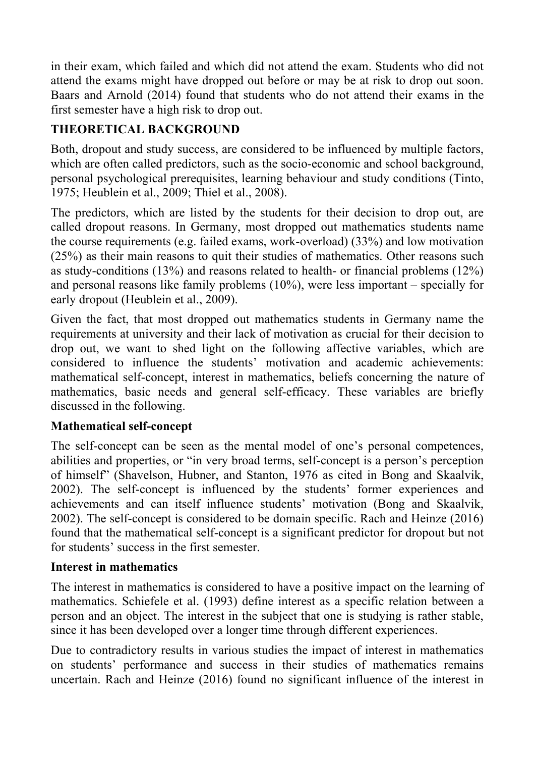in their exam, which failed and which did not attend the exam. Students who did not attend the exams might have dropped out before or may be at risk to drop out soon. Baars and Arnold (2014) found that students who do not attend their exams in the first semester have a high risk to drop out.

## **THEORETICAL BACKGROUND**

Both, dropout and study success, are considered to be influenced by multiple factors, which are often called predictors, such as the socio-economic and school background. personal psychological prerequisites, learning behaviour and study conditions (Tinto, 1975; Heublein et al., 2009; Thiel et al., 2008).

The predictors, which are listed by the students for their decision to drop out, are called dropout reasons. In Germany, most dropped out mathematics students name the course requirements (e.g. failed exams, work-overload) (33%) and low motivation (25%) as their main reasons to quit their studies of mathematics. Other reasons such as study-conditions (13%) and reasons related to health- or financial problems (12%) and personal reasons like family problems (10%), were less important – specially for early dropout (Heublein et al., 2009).

Given the fact, that most dropped out mathematics students in Germany name the requirements at university and their lack of motivation as crucial for their decision to drop out, we want to shed light on the following affective variables, which are considered to influence the students' motivation and academic achievements: mathematical self-concept, interest in mathematics, beliefs concerning the nature of mathematics, basic needs and general self-efficacy. These variables are briefly discussed in the following.

## **Mathematical self-concept**

The self-concept can be seen as the mental model of one's personal competences, abilities and properties, or "in very broad terms, self-concept is a person's perception of himself" (Shavelson, Hubner, and Stanton, 1976 as cited in Bong and Skaalvik, 2002). The self-concept is influenced by the students' former experiences and achievements and can itself influence students' motivation (Bong and Skaalvik, 2002). The self-concept is considered to be domain specific. Rach and Heinze (2016) found that the mathematical self-concept is a significant predictor for dropout but not for students' success in the first semester.

### **Interest in mathematics**

The interest in mathematics is considered to have a positive impact on the learning of mathematics. Schiefele et al. (1993) define interest as a specific relation between a person and an object. The interest in the subject that one is studying is rather stable, since it has been developed over a longer time through different experiences.

Due to contradictory results in various studies the impact of interest in mathematics on students' performance and success in their studies of mathematics remains uncertain. Rach and Heinze (2016) found no significant influence of the interest in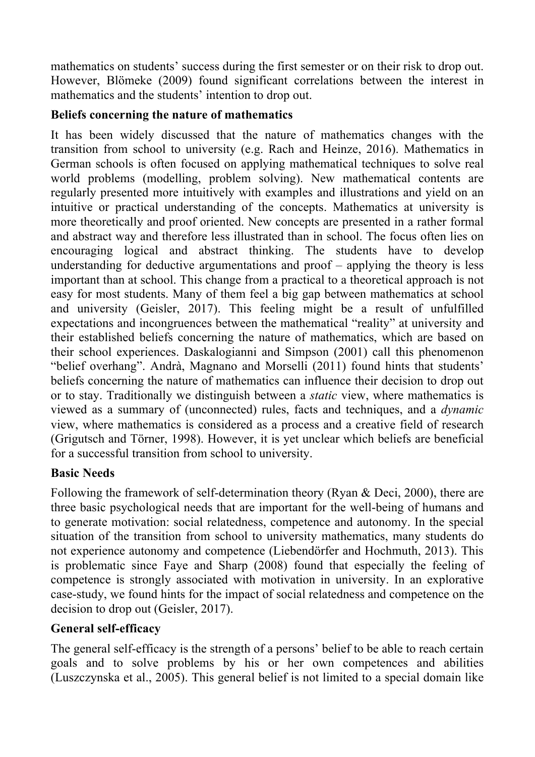mathematics on students' success during the first semester or on their risk to drop out. However, Blömeke (2009) found significant correlations between the interest in mathematics and the students' intention to drop out.

### **Beliefs concerning the nature of mathematics**

It has been widely discussed that the nature of mathematics changes with the transition from school to university (e.g. Rach and Heinze, 2016). Mathematics in German schools is often focused on applying mathematical techniques to solve real world problems (modelling, problem solving). New mathematical contents are regularly presented more intuitively with examples and illustrations and yield on an intuitive or practical understanding of the concepts. Mathematics at university is more theoretically and proof oriented. New concepts are presented in a rather formal and abstract way and therefore less illustrated than in school. The focus often lies on encouraging logical and abstract thinking. The students have to develop understanding for deductive argumentations and proof – applying the theory is less important than at school. This change from a practical to a theoretical approach is not easy for most students. Many of them feel a big gap between mathematics at school and university (Geisler, 2017). This feeling might be a result of unfulfilled expectations and incongruences between the mathematical "reality" at university and their established beliefs concerning the nature of mathematics, which are based on their school experiences. Daskalogianni and Simpson (2001) call this phenomenon "belief overhang". Andrà, Magnano and Morselli (2011) found hints that students' beliefs concerning the nature of mathematics can influence their decision to drop out or to stay. Traditionally we distinguish between a *static* view, where mathematics is viewed as a summary of (unconnected) rules, facts and techniques, and a *dynamic* view, where mathematics is considered as a process and a creative field of research (Grigutsch and Törner, 1998). However, it is yet unclear which beliefs are beneficial for a successful transition from school to university.

## **Basic Needs**

Following the framework of self-determination theory (Ryan & Deci, 2000), there are three basic psychological needs that are important for the well-being of humans and to generate motivation: social relatedness, competence and autonomy. In the special situation of the transition from school to university mathematics, many students do not experience autonomy and competence (Liebendörfer and Hochmuth, 2013). This is problematic since Faye and Sharp (2008) found that especially the feeling of competence is strongly associated with motivation in university. In an explorative case-study, we found hints for the impact of social relatedness and competence on the decision to drop out (Geisler, 2017).

## **General self-efficacy**

The general self-efficacy is the strength of a persons' belief to be able to reach certain goals and to solve problems by his or her own competences and abilities (Luszczynska et al., 2005). This general belief is not limited to a special domain like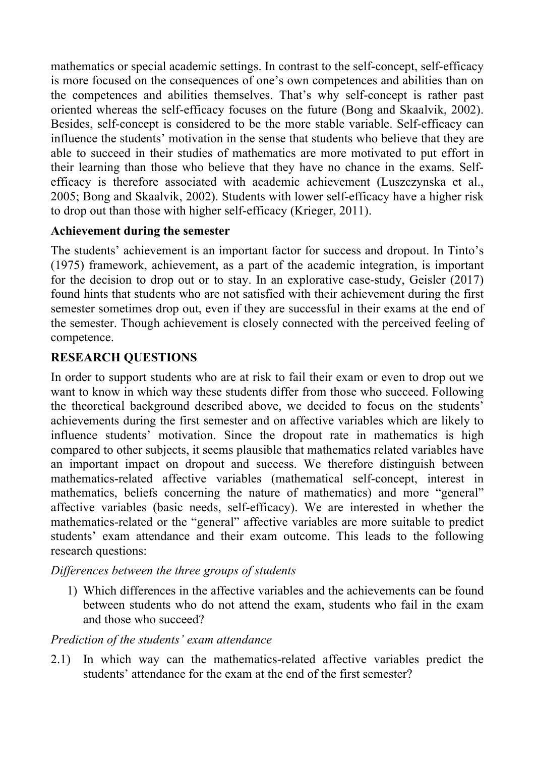mathematics or special academic settings. In contrast to the self-concept, self-efficacy is more focused on the consequences of one's own competences and abilities than on the competences and abilities themselves. That's why self-concept is rather past oriented whereas the self-efficacy focuses on the future (Bong and Skaalvik, 2002). Besides, self-concept is considered to be the more stable variable. Self-efficacy can influence the students' motivation in the sense that students who believe that they are able to succeed in their studies of mathematics are more motivated to put effort in their learning than those who believe that they have no chance in the exams. Selfefficacy is therefore associated with academic achievement (Luszczynska et al., 2005; Bong and Skaalvik, 2002). Students with lower self-efficacy have a higher risk to drop out than those with higher self-efficacy (Krieger, 2011).

### **Achievement during the semester**

The students' achievement is an important factor for success and dropout. In Tinto's (1975) framework, achievement, as a part of the academic integration, is important for the decision to drop out or to stay. In an explorative case-study, Geisler (2017) found hints that students who are not satisfied with their achievement during the first semester sometimes drop out, even if they are successful in their exams at the end of the semester. Though achievement is closely connected with the perceived feeling of competence.

## **RESEARCH QUESTIONS**

In order to support students who are at risk to fail their exam or even to drop out we want to know in which way these students differ from those who succeed. Following the theoretical background described above, we decided to focus on the students' achievements during the first semester and on affective variables which are likely to influence students' motivation. Since the dropout rate in mathematics is high compared to other subjects, it seems plausible that mathematics related variables have an important impact on dropout and success. We therefore distinguish between mathematics-related affective variables (mathematical self-concept, interest in mathematics, beliefs concerning the nature of mathematics) and more "general" affective variables (basic needs, self-efficacy). We are interested in whether the mathematics-related or the "general" affective variables are more suitable to predict students' exam attendance and their exam outcome. This leads to the following research questions:

*Differences between the three groups of students* 

1) Which differences in the affective variables and the achievements can be found between students who do not attend the exam, students who fail in the exam and those who succeed?

### *Prediction of the students' exam attendance*

2.1) In which way can the mathematics-related affective variables predict the students' attendance for the exam at the end of the first semester?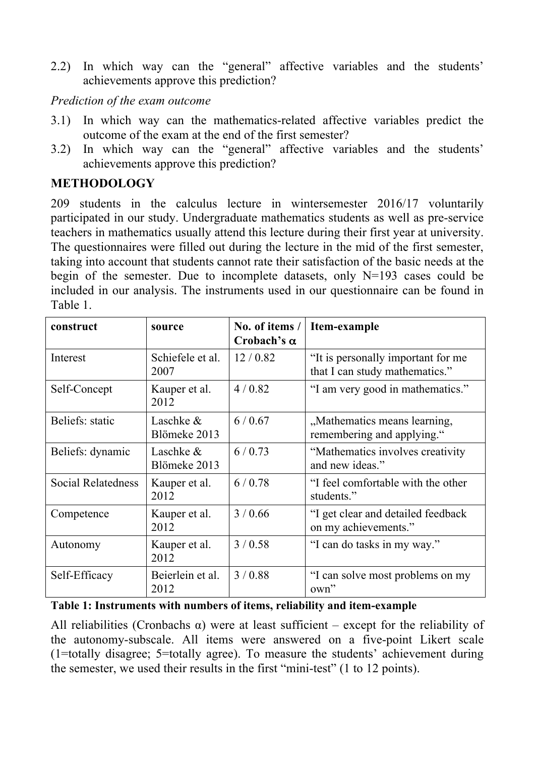2.2) In which way can the "general" affective variables and the students' achievements approve this prediction?

*Prediction of the exam outcome*

- 3.1) In which way can the mathematics-related affective variables predict the outcome of the exam at the end of the first semester?
- 3.2) In which way can the "general" affective variables and the students' achievements approve this prediction?

### **METHODOLOGY**

209 students in the calculus lecture in wintersemester 2016/17 voluntarily participated in our study. Undergraduate mathematics students as well as pre-service teachers in mathematics usually attend this lecture during their first year at university. The questionnaires were filled out during the lecture in the mid of the first semester, taking into account that students cannot rate their satisfaction of the basic needs at the begin of the semester. Due to incomplete datasets, only N=193 cases could be included in our analysis. The instruments used in our questionnaire can be found in Table 1.

| construct          | source                       | No. of items /     | Item-example                                                         |
|--------------------|------------------------------|--------------------|----------------------------------------------------------------------|
|                    |                              | Crobach's $\alpha$ |                                                                      |
| Interest           | Schiefele et al.<br>2007     | 12/0.82            | "It is personally important for me<br>that I can study mathematics." |
| Self-Concept       | Kauper et al.<br>2012        | 4/0.82             | "I am very good in mathematics."                                     |
| Beliefs: static    | Laschke $\&$<br>Blömeke 2013 | 6/0.67             | "Mathematics means learning,<br>remembering and applying."           |
| Beliefs: dynamic   | Laschke &<br>Blömeke 2013    | 6/0.73             | "Mathematics involves creativity"<br>and new ideas."                 |
| Social Relatedness | Kauper et al.<br>2012        | 6/0.78             | "I feel comfortable with the other<br>students."                     |
| Competence         | Kauper et al.<br>2012        | 3/0.66             | "I get clear and detailed feedback<br>on my achievements."           |
| Autonomy           | Kauper et al.<br>2012        | 3/0.58             | "I can do tasks in my way."                                          |
| Self-Efficacy      | Beierlein et al.<br>2012     | 3/0.88             | "I can solve most problems on my<br>own"                             |

#### **Table 1: Instruments with numbers of items, reliability and item-example**

All reliabilities (Cronbachs  $\alpha$ ) were at least sufficient – except for the reliability of the autonomy-subscale. All items were answered on a five-point Likert scale (1=totally disagree; 5=totally agree). To measure the students' achievement during the semester, we used their results in the first "mini-test" (1 to 12 points).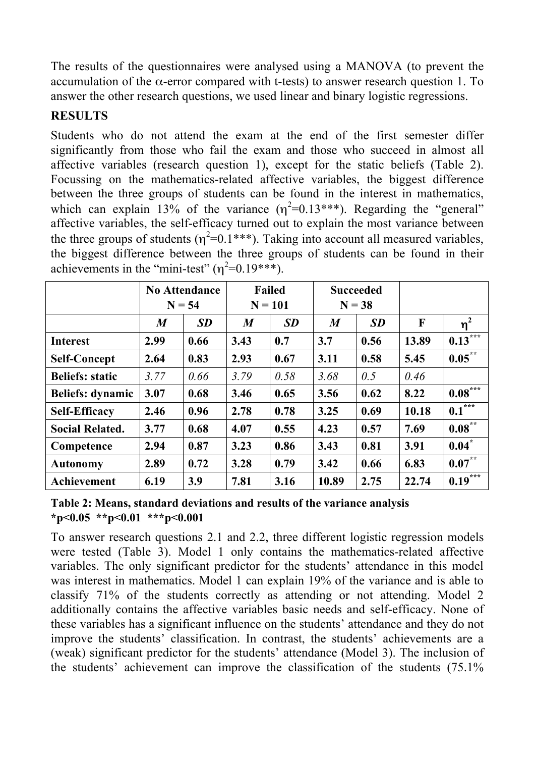The results of the questionnaires were analysed using a MANOVA (to prevent the accumulation of the  $\alpha$ -error compared with t-tests) to answer research question 1. To answer the other research questions, we used linear and binary logistic regressions.

#### **RESULTS**

Students who do not attend the exam at the end of the first semester differ significantly from those who fail the exam and those who succeed in almost all affective variables (research question 1), except for the static beliefs (Table 2). Focussing on the mathematics-related affective variables, the biggest difference between the three groups of students can be found in the interest in mathematics, which can explain 13% of the variance  $(\eta^2=0.13***)$ . Regarding the "general" affective variables, the self-efficacy turned out to explain the most variance between the three groups of students ( $\eta^2$ =0.1\*\*\*). Taking into account all measured variables, the biggest difference between the three groups of students can be found in their achievements in the "mini-test"  $(\eta^2=0.19***)$ .

|                         | <b>No Attendance</b><br>$N = 54$ |           | Failed<br>$N = 101$ |      | <b>Succeeded</b><br>$N = 38$ |           |       |               |
|-------------------------|----------------------------------|-----------|---------------------|------|------------------------------|-----------|-------|---------------|
|                         | $\boldsymbol{M}$                 | <b>SD</b> | $\boldsymbol{M}$    | SD   | $\boldsymbol{M}$             | <b>SD</b> | F     | $\eta^2$      |
| <b>Interest</b>         | 2.99                             | 0.66      | 3.43                | 0.7  | 3.7                          | 0.56      | 13.89 | ***<br>0.13   |
| <b>Self-Concept</b>     | 2.64                             | 0.83      | 2.93                | 0.67 | 3.11                         | 0.58      | 5.45  | $0.05***$     |
| <b>Beliefs: static</b>  | 3.77                             | 0.66      | 3.79                | 0.58 | 3.68                         | 0.5       | 0.46  |               |
| <b>Beliefs: dynamic</b> | 3.07                             | 0.68      | 3.46                | 0.65 | 3.56                         | 0.62      | 8.22  | $0.08***$     |
| <b>Self-Efficacy</b>    | 2.46                             | 0.96      | 2.78                | 0.78 | 3.25                         | 0.69      | 10.18 | ***<br>0.1    |
| <b>Social Related.</b>  | 3.77                             | 0.68      | 4.07                | 0.55 | 4.23                         | 0.57      | 7.69  | $0.08***$     |
| Competence              | 2.94                             | 0.87      | 3.23                | 0.86 | 3.43                         | 0.81      | 3.91  | $0.04^*$      |
| <b>Autonomy</b>         | 2.89                             | 0.72      | 3.28                | 0.79 | 3.42                         | 0.66      | 6.83  | $0.07***$     |
| <b>Achievement</b>      | 6.19                             | 3.9       | 7.81                | 3.16 | 10.89                        | 2.75      | 22.74 | $***$<br>0.19 |

**Table 2: Means, standard deviations and results of the variance analysis \*p<0.05 \*\*p<0.01 \*\*\*p<0.001**

To answer research questions 2.1 and 2.2, three different logistic regression models were tested (Table 3). Model 1 only contains the mathematics-related affective variables. The only significant predictor for the students' attendance in this model was interest in mathematics. Model 1 can explain 19% of the variance and is able to classify 71% of the students correctly as attending or not attending. Model 2 additionally contains the affective variables basic needs and self-efficacy. None of these variables has a significant influence on the students' attendance and they do not improve the students' classification. In contrast, the students' achievements are a (weak) significant predictor for the students' attendance (Model 3). The inclusion of the students' achievement can improve the classification of the students (75.1%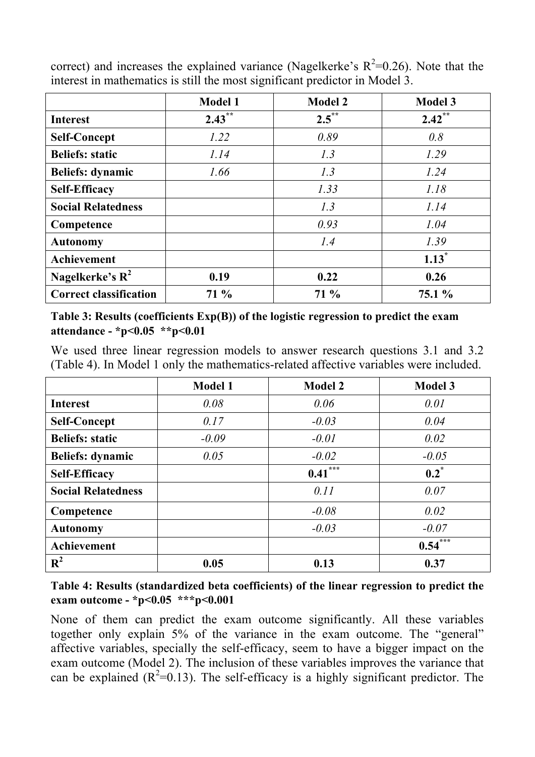|                               | <b>Model 1</b> | <b>Model 2</b> | <b>Model 3</b> |
|-------------------------------|----------------|----------------|----------------|
| <b>Interest</b>               | $2.43***$      | $2.5***$       | $2.42$ **      |
| <b>Self-Concept</b>           | 1.22           | 0.89           | 0.8            |
| <b>Beliefs: static</b>        | 1.14           | 1.3            | 1.29           |
| Beliefs: dynamic              | 1.66           | 1.3            | 1.24           |
| <b>Self-Efficacy</b>          |                | 1.33           | 1.18           |
| <b>Social Relatedness</b>     |                | 1.3            | 1.14           |
| Competence                    |                | 0.93           | 1.04           |
| <b>Autonomy</b>               |                | 1.4            | 1.39           |
| <b>Achievement</b>            |                |                | $1.13*$        |
| Nagelkerke's $R^2$            | 0.19           | 0.22           | 0.26           |
| <b>Correct classification</b> | 71 %           | 71 %           | 75.1 %         |

correct) and increases the explained variance (Nagelkerke's  $R^2=0.26$ ). Note that the interest in mathematics is still the most significant predictor in Model 3.

#### **Table 3: Results (coefficients Exp(B)) of the logistic regression to predict the exam attendance - \*p<0.05 \*\*p<0.01**

We used three linear regression models to answer research questions 3.1 and 3.2 (Table 4). In Model 1 only the mathematics-related affective variables were included.

|                           | <b>Model 1</b> | <b>Model 2</b> | <b>Model 3</b> |
|---------------------------|----------------|----------------|----------------|
| <b>Interest</b>           | 0.08           | 0.06           | 0.01           |
| <b>Self-Concept</b>       | 0.17           | $-0.03$        | 0.04           |
| <b>Beliefs: static</b>    | $-0.09$        | $-0.01$        | 0.02           |
| <b>Beliefs:</b> dynamic   | 0.05           | $-0.02$        | $-0.05$        |
| <b>Self-Efficacy</b>      |                | $****$<br>0.41 | $0.2^*$        |
| <b>Social Relatedness</b> |                | 0.11           | 0.07           |
| Competence                |                | $-0.08$        | 0.02           |
| <b>Autonomy</b>           |                | $-0.03$        | $-0.07$        |
| <b>Achievement</b>        |                |                | $0.54***$      |
| $\mathbf{R}^2$            | 0.05           | 0.13           | 0.37           |

#### **Table 4: Results (standardized beta coefficients) of the linear regression to predict the exam outcome - \*p<0.05 \*\*\*p<0.001**

None of them can predict the exam outcome significantly. All these variables together only explain 5% of the variance in the exam outcome. The "general" affective variables, specially the self-efficacy, seem to have a bigger impact on the exam outcome (Model 2). The inclusion of these variables improves the variance that can be explained  $(R^2=0.13)$ . The self-efficacy is a highly significant predictor. The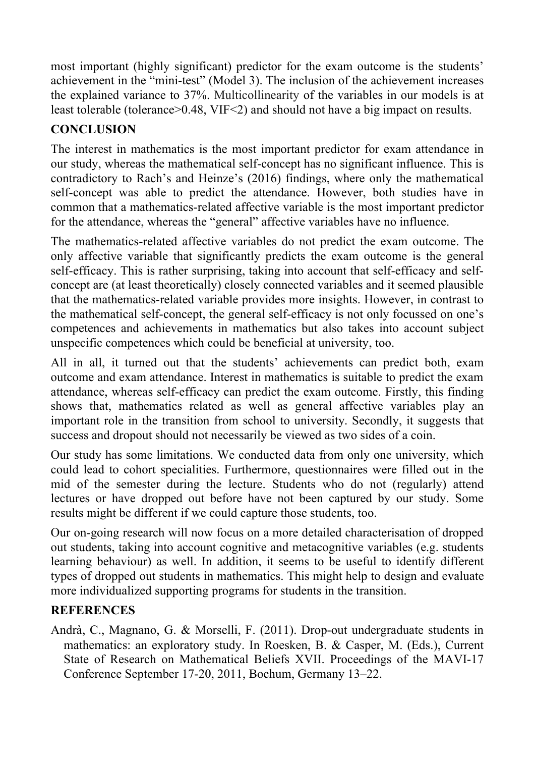most important (highly significant) predictor for the exam outcome is the students' achievement in the "mini-test" (Model 3). The inclusion of the achievement increases the explained variance to 37%. Multicollinearity of the variables in our models is at least tolerable (tolerance>0.48, VIF<2) and should not have a big impact on results.

## **CONCLUSION**

The interest in mathematics is the most important predictor for exam attendance in our study, whereas the mathematical self-concept has no significant influence. This is contradictory to Rach's and Heinze's (2016) findings, where only the mathematical self-concept was able to predict the attendance. However, both studies have in common that a mathematics-related affective variable is the most important predictor for the attendance, whereas the "general" affective variables have no influence.

The mathematics-related affective variables do not predict the exam outcome. The only affective variable that significantly predicts the exam outcome is the general self-efficacy. This is rather surprising, taking into account that self-efficacy and selfconcept are (at least theoretically) closely connected variables and it seemed plausible that the mathematics-related variable provides more insights. However, in contrast to the mathematical self-concept, the general self-efficacy is not only focussed on one's competences and achievements in mathematics but also takes into account subject unspecific competences which could be beneficial at university, too.

All in all, it turned out that the students' achievements can predict both, exam outcome and exam attendance. Interest in mathematics is suitable to predict the exam attendance, whereas self-efficacy can predict the exam outcome. Firstly, this finding shows that, mathematics related as well as general affective variables play an important role in the transition from school to university. Secondly, it suggests that success and dropout should not necessarily be viewed as two sides of a coin.

Our study has some limitations. We conducted data from only one university, which could lead to cohort specialities. Furthermore, questionnaires were filled out in the mid of the semester during the lecture. Students who do not (regularly) attend lectures or have dropped out before have not been captured by our study. Some results might be different if we could capture those students, too.

Our on-going research will now focus on a more detailed characterisation of dropped out students, taking into account cognitive and metacognitive variables (e.g. students learning behaviour) as well. In addition, it seems to be useful to identify different types of dropped out students in mathematics. This might help to design and evaluate more individualized supporting programs for students in the transition.

### **REFERENCES**

Andrà, C., Magnano, G. & Morselli, F. (2011). Drop-out undergraduate students in mathematics: an exploratory study. In Roesken, B. & Casper, M. (Eds.), Current State of Research on Mathematical Beliefs XVII. Proceedings of the MAVI-17 Conference September 17-20, 2011, Bochum, Germany 13–22.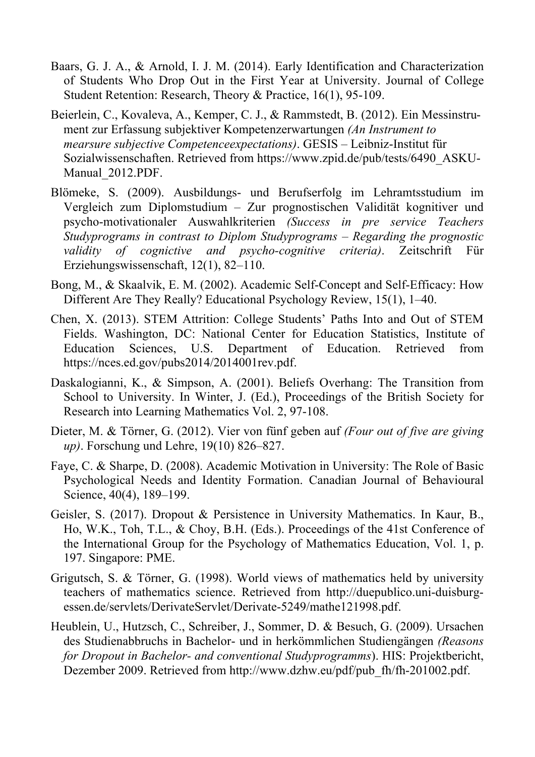- Baars, G. J. A., & Arnold, I. J. M. (2014). Early Identification and Characterization of Students Who Drop Out in the First Year at University. Journal of College Student Retention: Research, Theory & Practice, 16(1), 95-109.
- Beierlein, C., Kovaleva, A., Kemper, C. J., & Rammstedt, B. (2012). Ein Messinstrument zur Erfassung subjektiver Kompetenzerwartungen *(An Instrument to mearsure subjective Competenceexpectations)*. GESIS – Leibniz-Institut für Sozialwissenschaften. Retrieved from https://www.zpid.de/pub/tests/6490\_ASKU-Manual\_2012.PDF.
- Blömeke, S. (2009). Ausbildungs- und Berufserfolg im Lehramtsstudium im Vergleich zum Diplomstudium – Zur prognostischen Validität kognitiver und psycho-motivationaler Auswahlkriterien *(Success in pre service Teachers Studyprograms in contrast to Diplom Studyprograms – Regarding the prognostic validity of cognictive and psycho-cognitive criteria)*. Zeitschrift Für Erziehungswissenschaft, 12(1), 82–110.
- Bong, M., & Skaalvik, E. M. (2002). Academic Self-Concept and Self-Efficacy: How Different Are They Really? Educational Psychology Review, 15(1), 1–40.
- Chen, X. (2013). STEM Attrition: College Students' Paths Into and Out of STEM Fields. Washington, DC: National Center for Education Statistics, Institute of Education Sciences, U.S. Department of Education. Retrieved from https://nces.ed.gov/pubs2014/2014001rev.pdf.
- Daskalogianni, K., & Simpson, A. (2001). Beliefs Overhang: The Transition from School to University. In Winter, J. (Ed.), Proceedings of the British Society for Research into Learning Mathematics Vol. 2, 97-108.
- Dieter, M. & Törner, G. (2012). Vier von fünf geben auf *(Four out of five are giving up)*. Forschung und Lehre, 19(10) 826–827.
- Faye, C. & Sharpe, D. (2008). Academic Motivation in University: The Role of Basic Psychological Needs and Identity Formation. Canadian Journal of Behavioural Science, 40(4), 189–199.
- Geisler, S. (2017). Dropout & Persistence in University Mathematics. In Kaur, B., Ho, W.K., Toh, T.L., & Choy, B.H. (Eds.). Proceedings of the 41st Conference of the International Group for the Psychology of Mathematics Education, Vol. 1, p. 197. Singapore: PME.
- Grigutsch, S. & Törner, G. (1998). World views of mathematics held by university teachers of mathematics science. Retrieved from http://duepublico.uni-duisburgessen.de/servlets/DerivateServlet/Derivate-5249/mathe121998.pdf.
- Heublein, U., Hutzsch, C., Schreiber, J., Sommer, D. & Besuch, G. (2009). Ursachen des Studienabbruchs in Bachelor- und in herkömmlichen Studiengängen *(Reasons for Dropout in Bachelor- and conventional Studyprogramms*). HIS: Projektbericht, Dezember 2009. Retrieved from http://www.dzhw.eu/pdf/pub\_fh/fh-201002.pdf.